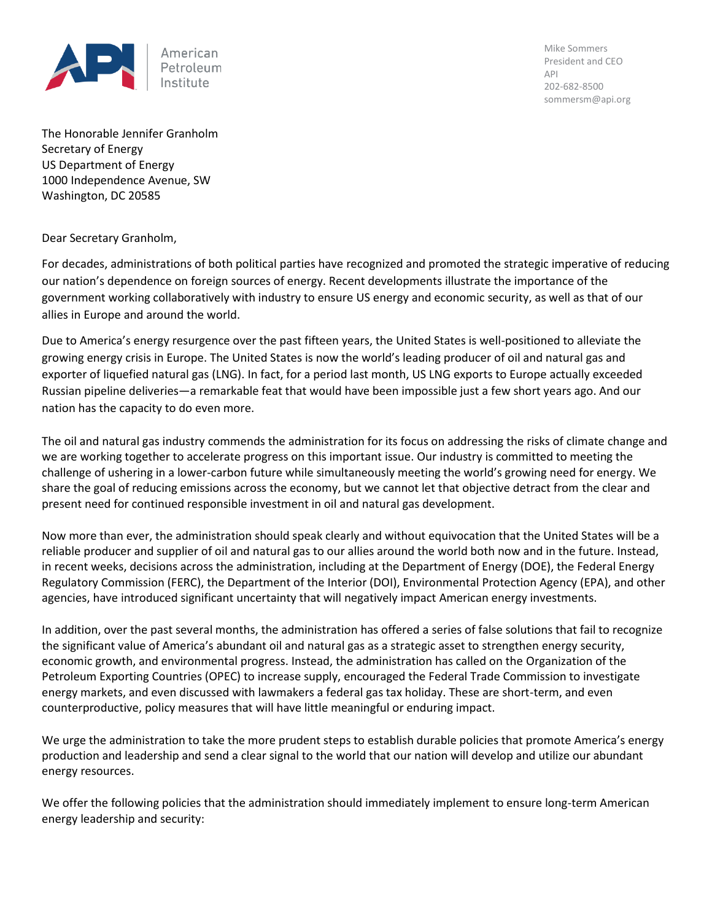

Mike Sommers President and CEO API 202-682-8500 sommersm@api.org

The Honorable Jennifer Granholm Secretary of Energy US Department of Energy 1000 Independence Avenue, SW Washington, DC 20585

Dear Secretary Granholm,

For decades, administrations of both political parties have recognized and promoted the strategic imperative of reducing our nation's dependence on foreign sources of energy. Recent developments illustrate the importance of the government working collaboratively with industry to ensure US energy and economic security, as well as that of our allies in Europe and around the world.

Due to America's energy resurgence over the past fifteen years, the United States is well-positioned to alleviate the growing energy crisis in Europe. The United States is now the world's leading producer of oil and natural gas and exporter of liquefied natural gas (LNG). In fact, for a period last month, US LNG exports to Europe actually exceeded Russian pipeline deliveries—a remarkable feat that would have been impossible just a few short years ago. And our nation has the capacity to do even more.

The oil and natural gas industry commends the administration for its focus on addressing the risks of climate change and we are working together to accelerate progress on this important issue. Our industry is committed to meeting the challenge of ushering in a lower-carbon future while simultaneously meeting the world's growing need for energy. We share the goal of reducing emissions across the economy, but we cannot let that objective detract from the clear and present need for continued responsible investment in oil and natural gas development.

Now more than ever, the administration should speak clearly and without equivocation that the United States will be a reliable producer and supplier of oil and natural gas to our allies around the world both now and in the future. Instead, in recent weeks, decisions across the administration, including at the Department of Energy (DOE), the Federal Energy Regulatory Commission (FERC), the Department of the Interior (DOI), Environmental Protection Agency (EPA), and other agencies, have introduced significant uncertainty that will negatively impact American energy investments.

In addition, over the past several months, the administration has offered a series of false solutions that fail to recognize the significant value of America's abundant oil and natural gas as a strategic asset to strengthen energy security, economic growth, and environmental progress. Instead, the administration has called on the Organization of the Petroleum Exporting Countries (OPEC) to increase supply, encouraged the Federal Trade Commission to investigate energy markets, and even discussed with lawmakers a federal gas tax holiday. These are short-term, and even counterproductive, policy measures that will have little meaningful or enduring impact.

We urge the administration to take the more prudent steps to establish durable policies that promote America's energy production and leadership and send a clear signal to the world that our nation will develop and utilize our abundant energy resources.

We offer the following policies that the administration should immediately implement to ensure long-term American energy leadership and security: